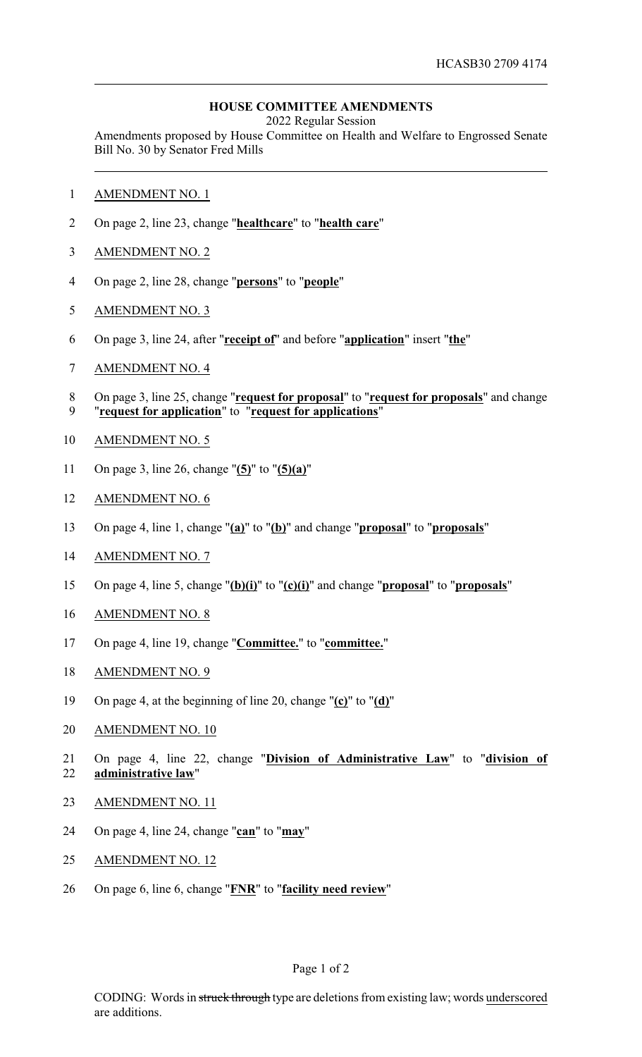## **HOUSE COMMITTEE AMENDMENTS**

2022 Regular Session

Amendments proposed by House Committee on Health and Welfare to Engrossed Senate Bill No. 30 by Senator Fred Mills

- AMENDMENT NO. 1
- On page 2, line 23, change "**healthcare**" to "**health care**"
- AMENDMENT NO. 2
- On page 2, line 28, change "**persons**" to "**people**"
- AMENDMENT NO. 3
- On page 3, line 24, after "**receipt of**" and before "**application**" insert "**the**"
- AMENDMENT NO. 4
- On page 3, line 25, change "**request for proposal**" to "**request for proposals**" and change "**request for application**" to "**request for applications**"
- AMENDMENT NO. 5
- On page 3, line 26, change "**(5)**" to "**(5)(a)**"
- AMENDMENT NO. 6
- On page 4, line 1, change "**(a)**" to "**(b)**" and change "**proposal**" to "**proposals**"
- AMENDMENT NO. 7
- On page 4, line 5, change "**(b)(i)**" to "**(c)(i)**" and change "**proposal**" to "**proposals**"
- AMENDMENT NO. 8
- On page 4, line 19, change "**Committee.**" to "**committee.**"
- AMENDMENT NO. 9
- On page 4, at the beginning of line 20, change "**(c)**" to "**(d)**"
- AMENDMENT NO. 10
- On page 4, line 22, change "**Division of Administrative Law**" to "**division of administrative law**"
- AMENDMENT NO. 11
- On page 4, line 24, change "**can**" to "**may**"
- AMENDMENT NO. 12
- On page 6, line 6, change "**FNR**" to "**facility need review**"